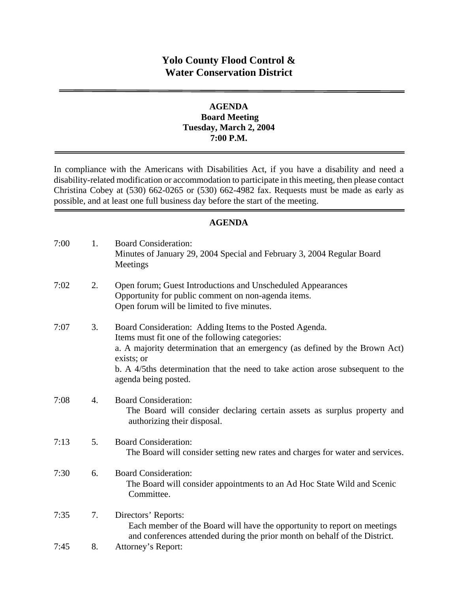# **Yolo County Flood Control & Water Conservation District**

### **AGENDA Board Meeting Tuesday, March 2, 2004 7:00 P.M.**

In compliance with the Americans with Disabilities Act, if you have a disability and need a disability-related modification or accommodation to participate in this meeting, then please contact Christina Cobey at (530) 662-0265 or (530) 662-4982 fax. Requests must be made as early as possible, and at least one full business day before the start of the meeting.

### **AGENDA**

| 7:00 | 1. | <b>Board Consideration:</b><br>Minutes of January 29, 2004 Special and February 3, 2004 Regular Board<br>Meetings                                                                                                                                                                                                 |
|------|----|-------------------------------------------------------------------------------------------------------------------------------------------------------------------------------------------------------------------------------------------------------------------------------------------------------------------|
| 7:02 | 2. | Open forum; Guest Introductions and Unscheduled Appearances<br>Opportunity for public comment on non-agenda items.<br>Open forum will be limited to five minutes.                                                                                                                                                 |
| 7:07 | 3. | Board Consideration: Adding Items to the Posted Agenda.<br>Items must fit one of the following categories:<br>a. A majority determination that an emergency (as defined by the Brown Act)<br>exists; or<br>b. A 4/5ths determination that the need to take action arose subsequent to the<br>agenda being posted. |
| 7:08 | 4. | <b>Board Consideration:</b><br>The Board will consider declaring certain assets as surplus property and<br>authorizing their disposal.                                                                                                                                                                            |
| 7:13 | 5. | <b>Board Consideration:</b><br>The Board will consider setting new rates and charges for water and services.                                                                                                                                                                                                      |
| 7:30 | 6. | <b>Board Consideration:</b><br>The Board will consider appointments to an Ad Hoc State Wild and Scenic<br>Committee.                                                                                                                                                                                              |
| 7:35 | 7. | Directors' Reports:<br>Each member of the Board will have the opportunity to report on meetings<br>and conferences attended during the prior month on behalf of the District.                                                                                                                                     |
| 7:45 | 8. | Attorney's Report:                                                                                                                                                                                                                                                                                                |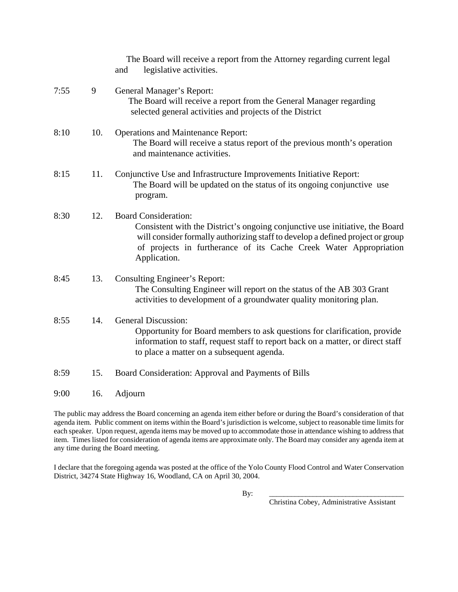|      |     | The Board will receive a report from the Attorney regarding current legal<br>legislative activities.<br>and                                                                                                                                                                        |
|------|-----|------------------------------------------------------------------------------------------------------------------------------------------------------------------------------------------------------------------------------------------------------------------------------------|
| 7:55 | 9   | General Manager's Report:<br>The Board will receive a report from the General Manager regarding<br>selected general activities and projects of the District                                                                                                                        |
| 8:10 | 10. | <b>Operations and Maintenance Report:</b><br>The Board will receive a status report of the previous month's operation<br>and maintenance activities.                                                                                                                               |
| 8:15 | 11. | Conjunctive Use and Infrastructure Improvements Initiative Report:<br>The Board will be updated on the status of its ongoing conjunctive use<br>program.                                                                                                                           |
| 8:30 | 12. | <b>Board Consideration:</b><br>Consistent with the District's ongoing conjunctive use initiative, the Board<br>will consider formally authorizing staff to develop a defined project or group<br>of projects in furtherance of its Cache Creek Water Appropriation<br>Application. |
| 8:45 | 13. | Consulting Engineer's Report:<br>The Consulting Engineer will report on the status of the AB 303 Grant<br>activities to development of a groundwater quality monitoring plan.                                                                                                      |
| 8:55 | 14. | <b>General Discussion:</b><br>Opportunity for Board members to ask questions for clarification, provide<br>information to staff, request staff to report back on a matter, or direct staff<br>to place a matter on a subsequent agenda.                                            |
| 8:59 | 15. | Board Consideration: Approval and Payments of Bills                                                                                                                                                                                                                                |
| 9:00 | 16. | Adjourn                                                                                                                                                                                                                                                                            |

The public may address the Board concerning an agenda item either before or during the Board's consideration of that agenda item. Public comment on items within the Board's jurisdiction is welcome, subject to reasonable time limits for each speaker. Upon request, agenda items may be moved up to accommodate those in attendance wishing to address that item. Times listed for consideration of agenda items are approximate only. The Board may consider any agenda item at any time during the Board meeting.

I declare that the foregoing agenda was posted at the office of the Yolo County Flood Control and Water Conservation District, 34274 State Highway 16, Woodland, CA on April 30, 2004.

By: \_\_\_\_\_\_\_\_\_\_\_\_\_\_\_\_\_\_\_\_\_\_\_\_\_\_\_\_\_\_\_\_\_\_\_\_\_

Christina Cobey, Administrative Assistant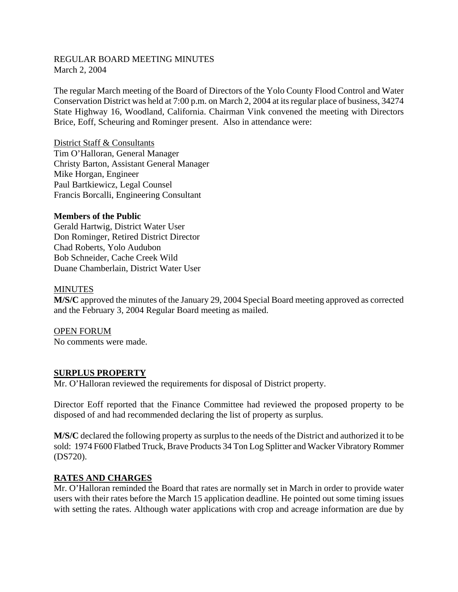### REGULAR BOARD MEETING MINUTES March 2, 2004

The regular March meeting of the Board of Directors of the Yolo County Flood Control and Water Conservation District was held at 7:00 p.m. on March 2, 2004 at its regular place of business, 34274 State Highway 16, Woodland, California. Chairman Vink convened the meeting with Directors Brice, Eoff, Scheuring and Rominger present. Also in attendance were:

District Staff & Consultants Tim O'Halloran, General Manager Christy Barton, Assistant General Manager Mike Horgan, Engineer Paul Bartkiewicz, Legal Counsel Francis Borcalli, Engineering Consultant

### **Members of the Public**

Gerald Hartwig, District Water User Don Rominger, Retired District Director Chad Roberts, Yolo Audubon Bob Schneider, Cache Creek Wild Duane Chamberlain, District Water User

#### **MINUTES**

**M/S/C** approved the minutes of the January 29, 2004 Special Board meeting approved as corrected and the February 3, 2004 Regular Board meeting as mailed.

OPEN FORUM No comments were made.

### **SURPLUS PROPERTY**

Mr. O'Halloran reviewed the requirements for disposal of District property.

Director Eoff reported that the Finance Committee had reviewed the proposed property to be disposed of and had recommended declaring the list of property as surplus.

**M/S/C** declared the following property as surplus to the needs of the District and authorized it to be sold: 1974 F600 Flatbed Truck, Brave Products 34 Ton Log Splitter and Wacker Vibratory Rommer (DS720).

## **RATES AND CHARGES**

Mr. O'Halloran reminded the Board that rates are normally set in March in order to provide water users with their rates before the March 15 application deadline. He pointed out some timing issues with setting the rates. Although water applications with crop and acreage information are due by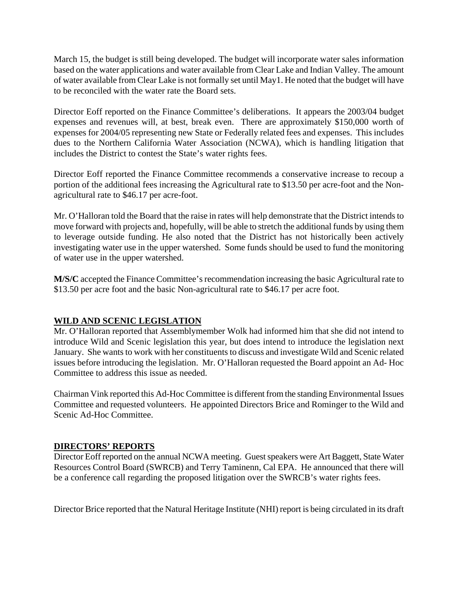March 15, the budget is still being developed. The budget will incorporate water sales information based on the water applications and water available from Clear Lake and Indian Valley. The amount of water available from Clear Lake is not formally set until May1. He noted that the budget will have to be reconciled with the water rate the Board sets.

Director Eoff reported on the Finance Committee's deliberations. It appears the 2003/04 budget expenses and revenues will, at best, break even. There are approximately \$150,000 worth of expenses for 2004/05 representing new State or Federally related fees and expenses. This includes dues to the Northern California Water Association (NCWA), which is handling litigation that includes the District to contest the State's water rights fees.

Director Eoff reported the Finance Committee recommends a conservative increase to recoup a portion of the additional fees increasing the Agricultural rate to \$13.50 per acre-foot and the Nonagricultural rate to \$46.17 per acre-foot.

Mr. O'Halloran told the Board that the raise in rates will help demonstrate that the District intends to move forward with projects and, hopefully, will be able to stretch the additional funds by using them to leverage outside funding. He also noted that the District has not historically been actively investigating water use in the upper watershed. Some funds should be used to fund the monitoring of water use in the upper watershed.

**M/S/C** accepted the Finance Committee's recommendation increasing the basic Agricultural rate to \$13.50 per acre foot and the basic Non-agricultural rate to \$46.17 per acre foot.

## **WILD AND SCENIC LEGISLATION**

Mr. O'Halloran reported that Assemblymember Wolk had informed him that she did not intend to introduce Wild and Scenic legislation this year, but does intend to introduce the legislation next January. She wants to work with her constituents to discuss and investigate Wild and Scenic related issues before introducing the legislation. Mr. O'Halloran requested the Board appoint an Ad- Hoc Committee to address this issue as needed.

Chairman Vink reported this Ad-Hoc Committee is different from the standing Environmental Issues Committee and requested volunteers. He appointed Directors Brice and Rominger to the Wild and Scenic Ad-Hoc Committee.

## **DIRECTORS' REPORTS**

Director Eoff reported on the annual NCWA meeting. Guest speakers were Art Baggett, State Water Resources Control Board (SWRCB) and Terry Taminenn, Cal EPA. He announced that there will be a conference call regarding the proposed litigation over the SWRCB's water rights fees.

Director Brice reported that the Natural Heritage Institute (NHI) report is being circulated in its draft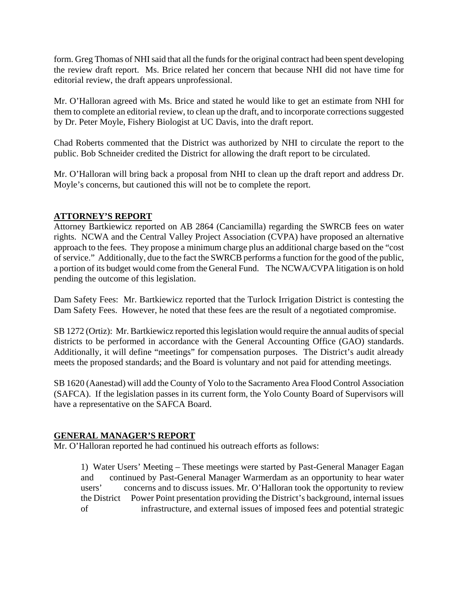form. Greg Thomas of NHI said that all the funds for the original contract had been spent developing the review draft report. Ms. Brice related her concern that because NHI did not have time for editorial review, the draft appears unprofessional.

Mr. O'Halloran agreed with Ms. Brice and stated he would like to get an estimate from NHI for them to complete an editorial review, to clean up the draft, and to incorporate corrections suggested by Dr. Peter Moyle, Fishery Biologist at UC Davis, into the draft report.

Chad Roberts commented that the District was authorized by NHI to circulate the report to the public. Bob Schneider credited the District for allowing the draft report to be circulated.

Mr. O'Halloran will bring back a proposal from NHI to clean up the draft report and address Dr. Moyle's concerns, but cautioned this will not be to complete the report.

## **ATTORNEY'S REPORT**

Attorney Bartkiewicz reported on AB 2864 (Canciamilla) regarding the SWRCB fees on water rights. NCWA and the Central Valley Project Association (CVPA) have proposed an alternative approach to the fees. They propose a minimum charge plus an additional charge based on the "cost of service." Additionally, due to the fact the SWRCB performs a function for the good of the public, a portion of its budget would come from the General Fund. The NCWA/CVPA litigation is on hold pending the outcome of this legislation.

Dam Safety Fees: Mr. Bartkiewicz reported that the Turlock Irrigation District is contesting the Dam Safety Fees. However, he noted that these fees are the result of a negotiated compromise.

SB 1272 (Ortiz): Mr. Bartkiewicz reported this legislation would require the annual audits of special districts to be performed in accordance with the General Accounting Office (GAO) standards. Additionally, it will define "meetings" for compensation purposes. The District's audit already meets the proposed standards; and the Board is voluntary and not paid for attending meetings.

SB 1620 (Aanestad) will add the County of Yolo to the Sacramento Area Flood Control Association (SAFCA). If the legislation passes in its current form, the Yolo County Board of Supervisors will have a representative on the SAFCA Board.

## **GENERAL MANAGER'S REPORT**

Mr. O'Halloran reported he had continued his outreach efforts as follows:

1) Water Users' Meeting – These meetings were started by Past-General Manager Eagan and continued by Past-General Manager Warmerdam as an opportunity to hear water users' concerns and to discuss issues. Mr. O'Halloran took the opportunity to review the District Power Point presentation providing the District's background, internal issues of infrastructure, and external issues of imposed fees and potential strategic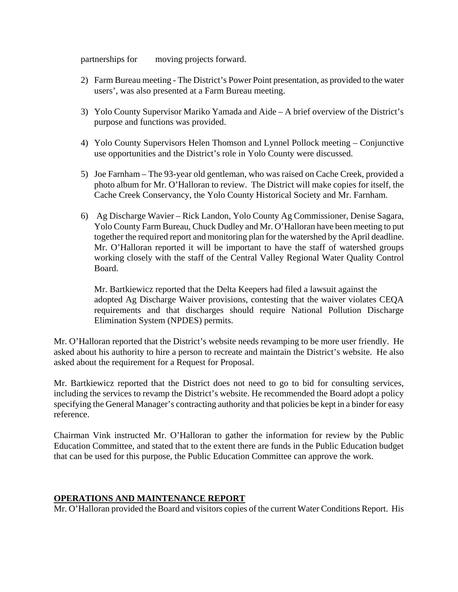partnerships for moving projects forward.

- 2) Farm Bureau meeting The District's Power Point presentation, as provided to the water users', was also presented at a Farm Bureau meeting.
- 3) Yolo County Supervisor Mariko Yamada and Aide A brief overview of the District's purpose and functions was provided.
- 4) Yolo County Supervisors Helen Thomson and Lynnel Pollock meeting Conjunctive use opportunities and the District's role in Yolo County were discussed.
- 5) Joe Farnham The 93-year old gentleman, who was raised on Cache Creek, provided a photo album for Mr. O'Halloran to review. The District will make copies for itself, the Cache Creek Conservancy, the Yolo County Historical Society and Mr. Farnham.
- 6) Ag Discharge Wavier Rick Landon, Yolo County Ag Commissioner, Denise Sagara, Yolo County Farm Bureau, Chuck Dudley and Mr. O'Halloran have been meeting to put together the required report and monitoring plan for the watershed by the April deadline. Mr. O'Halloran reported it will be important to have the staff of watershed groups working closely with the staff of the Central Valley Regional Water Quality Control Board.

Mr. Bartkiewicz reported that the Delta Keepers had filed a lawsuit against the adopted Ag Discharge Waiver provisions, contesting that the waiver violates CEQA requirements and that discharges should require National Pollution Discharge Elimination System (NPDES) permits.

Mr. O'Halloran reported that the District's website needs revamping to be more user friendly. He asked about his authority to hire a person to recreate and maintain the District's website. He also asked about the requirement for a Request for Proposal.

Mr. Bartkiewicz reported that the District does not need to go to bid for consulting services, including the services to revamp the District's website. He recommended the Board adopt a policy specifying the General Manager's contracting authority and that policies be kept in a binder for easy reference.

Chairman Vink instructed Mr. O'Halloran to gather the information for review by the Public Education Committee, and stated that to the extent there are funds in the Public Education budget that can be used for this purpose, the Public Education Committee can approve the work.

### **OPERATIONS AND MAINTENANCE REPORT**

Mr. O'Halloran provided the Board and visitors copies of the current Water Conditions Report. His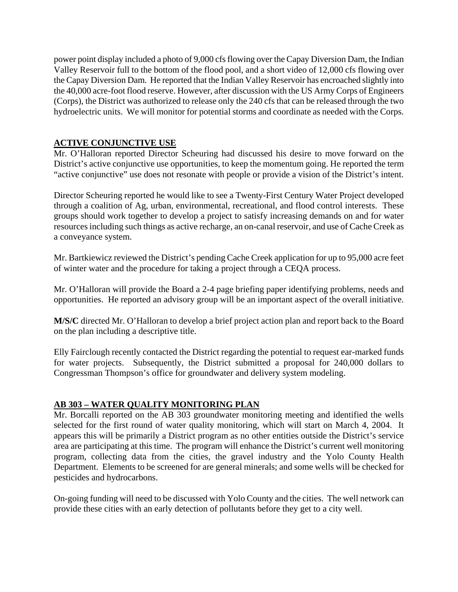power point display included a photo of 9,000 cfs flowing over the Capay Diversion Dam, the Indian Valley Reservoir full to the bottom of the flood pool, and a short video of 12,000 cfs flowing over the Capay Diversion Dam. He reported that the Indian Valley Reservoir has encroached slightly into the 40,000 acre-foot flood reserve. However, after discussion with the US Army Corps of Engineers (Corps), the District was authorized to release only the 240 cfs that can be released through the two hydroelectric units. We will monitor for potential storms and coordinate as needed with the Corps.

## **ACTIVE CONJUNCTIVE USE**

Mr. O'Halloran reported Director Scheuring had discussed his desire to move forward on the District's active conjunctive use opportunities, to keep the momentum going. He reported the term "active conjunctive" use does not resonate with people or provide a vision of the District's intent.

Director Scheuring reported he would like to see a Twenty-First Century Water Project developed through a coalition of Ag, urban, environmental, recreational, and flood control interests. These groups should work together to develop a project to satisfy increasing demands on and for water resources including such things as active recharge, an on-canal reservoir, and use of Cache Creek as a conveyance system.

Mr. Bartkiewicz reviewed the District's pending Cache Creek application for up to 95,000 acre feet of winter water and the procedure for taking a project through a CEQA process.

Mr. O'Halloran will provide the Board a 2-4 page briefing paper identifying problems, needs and opportunities. He reported an advisory group will be an important aspect of the overall initiative.

**M/S/C** directed Mr. O'Halloran to develop a brief project action plan and report back to the Board on the plan including a descriptive title.

Elly Fairclough recently contacted the District regarding the potential to request ear-marked funds for water projects. Subsequently, the District submitted a proposal for 240,000 dollars to Congressman Thompson's office for groundwater and delivery system modeling.

## **AB 303 – WATER QUALITY MONITORING PLAN**

Mr. Borcalli reported on the AB 303 groundwater monitoring meeting and identified the wells selected for the first round of water quality monitoring, which will start on March 4, 2004. It appears this will be primarily a District program as no other entities outside the District's service area are participating at this time. The program will enhance the District's current well monitoring program, collecting data from the cities, the gravel industry and the Yolo County Health Department. Elements to be screened for are general minerals; and some wells will be checked for pesticides and hydrocarbons.

On-going funding will need to be discussed with Yolo County and the cities. The well network can provide these cities with an early detection of pollutants before they get to a city well.